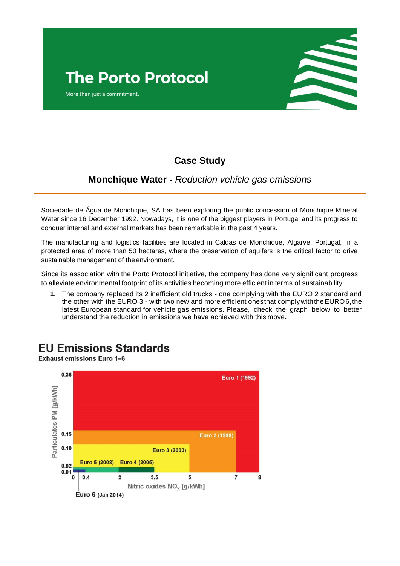More than just a commitment.



## **Case Study**

## **Monchique Water -** *Reduction vehicle gas emissions*

Sociedade de Água de Monchique, SA has been exploring the public concession of Monchique Mineral Water since 16 December 1992. Nowadays, it is one of the biggest players in Portugal and its progress to conquer internal and external markets has been remarkable in the past 4 years.

The manufacturing and logistics facilities are located in Caldas de Monchique, Algarve, Portugal, in a protected area of more than 50 hectares, where the preservation of aquifers is the critical factor to drive sustainable management of the environment.

Since its association with the Porto Protocol initiative, the company has done very significant progress to alleviate environmental footprint of its activities becoming more efficient in terms of sustainability.

**1.** The company replaced its 2 inefficient old trucks - one complying with the EURO 2 standard and the other with the EURO 3 - with two new and more efficient onesthat complywiththeEURO6,the latest European standard for vehicle gas emissions. Please, check the graph below to better understand the reduction in emissions we have achieved with this move**.**

## **EU Emissions Standards**

**Exhaust emissions Euro 1-6**